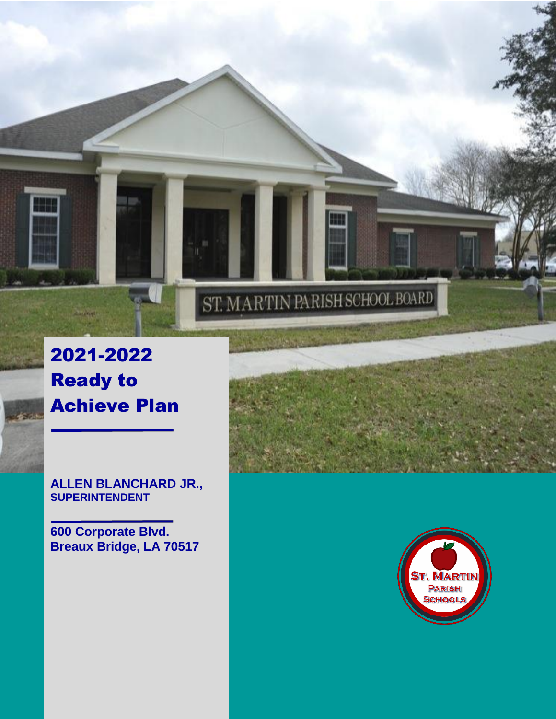2021-2022 Ready to Achieve Plan

**ALLEN BLANCHARD JR., SUPERINTENDENT**

**600 Corporate Blvd. Breaux Bridge, LA 70517**



ST. MARTIN PARISH SCHOOL BOARD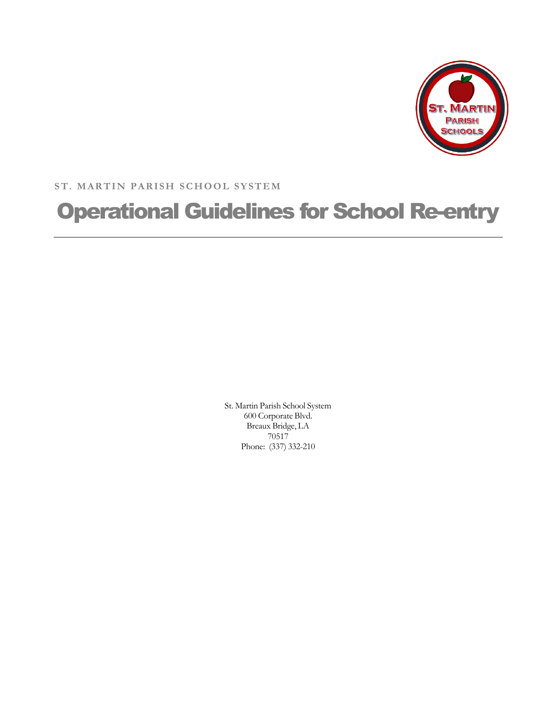

**ST. MARTIN PARISH SCHOOL SYSTEM**

# Operational Guidelines for School Re-entry

St. Martin Parish School System 600 Corporate Blvd. Breaux Bridge, LA 70517 Phone: (337) 332-210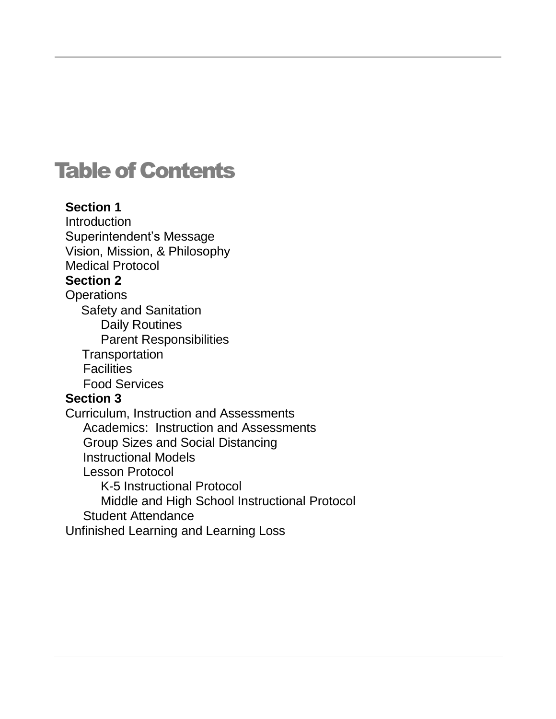# **Table of Contents**

## **Section 1 [Introduction](#page-3-0)** [Superintendent's](#page-4-0) Message Vision, Mission, & Philosophy Medical Protocol **Section 2 [Operations](#page-9-0)** Safety [and Sanitation](#page-5-0) Daily [Routines](#page-11-0) [Parent Responsibilities](#page-12-0) **[Transportation](#page-12-1) [Facilities](#page-13-0)** Food [Services](#page-13-1) **Section 3** [Curriculum, Instruction](#page-15-0) and Assessments Academics: Instruction and [Assessments](#page-15-1) Group Sizes and Social [Distancing](#page-15-2) [Instructional](#page-16-0) Models Lesson [Protocol](#page-17-0) K-5 Instructional Protocol Middle and High School Instructional Protocol Student [Attendance](#page-20-0) Unfinished Learning and Learning Loss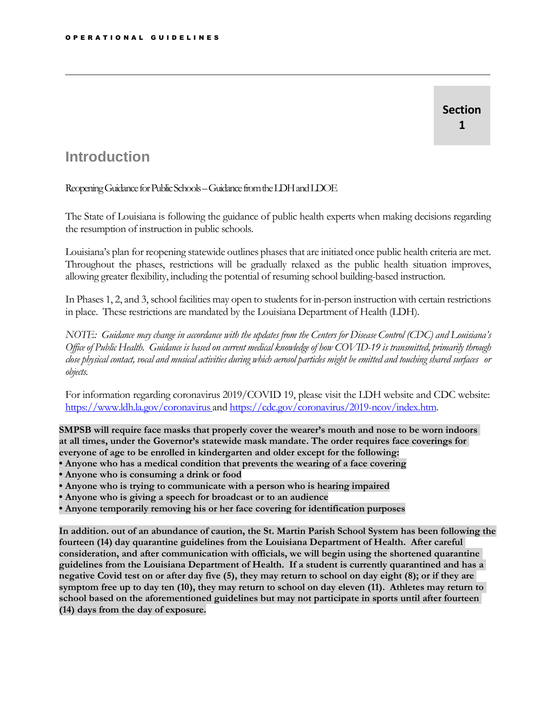### **Section 1**

## <span id="page-3-0"></span>**Introduction**

Reopening Guidance for Public Schools – Guidance from the LDH and LDOE

The State of Louisiana is following the guidance of public health experts when making decisions regarding the resumption of instruction in public schools.

Louisiana's plan for reopening statewide outlines phasesthat are initiated once public health criteria are met. Throughout the phases, restrictions will be gradually relaxed as the public health situation improves, allowing greater flexibility, including the potential of resuming school building-based instruction.

In Phases 1, 2, and 3, school facilities may open to students for in-person instruction with certain restrictions in place. These restrictions are mandated by the Louisiana Department of Health (LDH).

NOTE: Guidance may change in accordance with the updates from the Centers for Disease Control (CDC) and Louisiana's Office of Public Health. Guidance is based on current medical knowledge of how COVID-19 is transmitted, primarily through close physical contact, vocal and musical activities during which aerosol particles might be emitted and touching shared surfaces or *objects.*

For information regarding coronavirus 2019/COVID 19, please visit the LDH website and CDC website: <https://www.ldh.la.gov/coronavirus> and [https://cdc.gov/coronavirus/2019-ncov/index.htm.](https://cdc.gov/coronavirus/2019-ncov/index.htm)

**SMPSB will require face masks that properly cover the wearer's mouth and nose to be worn indoors at all times, under the Governor's statewide mask mandate. The order requires face coverings for everyone of age to be enrolled in kindergarten and older except for the following:**

- **Anyone who has a medical condition that prevents the wearing of a face covering**
- **Anyone who is consuming a drink or food**
- **Anyone who is trying to communicate with a person who is hearing impaired**
- **Anyone who is giving a speech for broadcast or to an audience**
- **Anyone temporarily removing his or her face covering for identification purposes**

**In addition. out of an abundance of caution, the St. Martin Parish School System has been following the fourteen (14) day quarantine guidelines from the Louisiana Department of Health. After careful consideration, and after communication with officials, we will begin using the shortened quarantine guidelines from the Louisiana Department of Health. If a student is currently quarantined and has a negative Covid test on or after day five (5), they may return to school on day eight (8); or if they are symptom free up to day ten (10), they may return to school on day eleven (11). Athletes may return to school based on the aforementioned guidelines but may not participate in sports until after fourteen (14) days from the day of exposure.**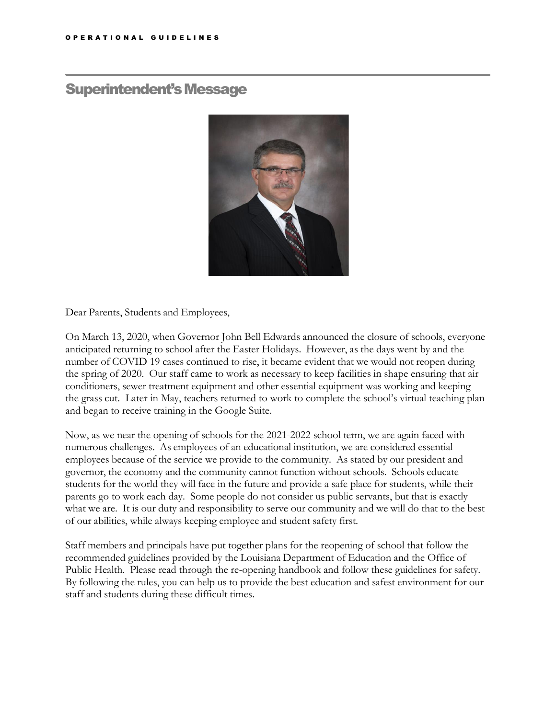## <span id="page-4-0"></span>Superintendent's Message



Dear Parents, Students and Employees,

On March 13, 2020, when Governor John Bell Edwards announced the closure of schools, everyone anticipated returning to school after the Easter Holidays. However, as the days went by and the number of COVID 19 cases continued to rise, it became evident that we would not reopen during the spring of 2020. Our staff came to work as necessary to keep facilities in shape ensuring that air conditioners, sewer treatment equipment and other essential equipment was working and keeping the grass cut. Later in May, teachers returned to work to complete the school's virtual teaching plan and began to receive training in the Google Suite.

Now, as we near the opening of schools for the 2021-2022 school term, we are again faced with numerous challenges. As employees of an educational institution, we are considered essential employees because of the service we provide to the community. As stated by our president and governor, the economy and the community cannot function without schools. Schools educate students for the world they will face in the future and provide a safe place for students, while their parents go to work each day. Some people do not consider us public servants, but that is exactly what we are. It is our duty and responsibility to serve our community and we will do that to the best of our abilities, while always keeping employee and student safety first.

Staff members and principals have put together plans for the reopening of school that follow the recommended guidelines provided by the Louisiana Department of Education and the Office of Public Health. Please read through the re-opening handbook and follow these guidelines for safety. By following the rules, you can help us to provide the best education and safest environment for our staff and students during these difficult times.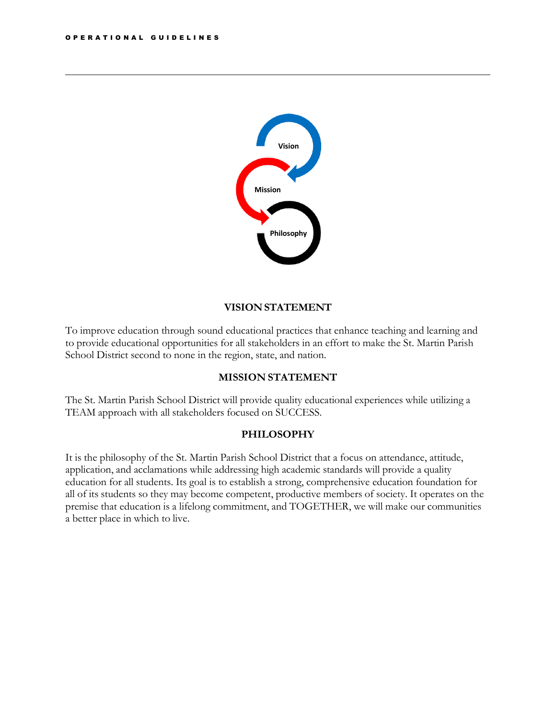<span id="page-5-0"></span>

### **VISION STATEMENT**

To improve education through sound educational practices that enhance teaching and learning and to provide educational opportunities for all stakeholders in an effort to make the St. Martin Parish School District second to none in the region, state, and nation.

### **MISSION STATEMENT**

The St. Martin Parish School District will provide quality educational experiences while utilizing a TEAM approach with all stakeholders focused on SUCCESS.

### **PHILOSOPHY**

It is the philosophy of the St. Martin Parish School District that a focus on attendance, attitude, application, and acclamations while addressing high academic standards will provide a quality education for all students. Its goal is to establish a strong, comprehensive education foundation for all of its students so they may become competent, productive members of society. It operates on the premise that education is a lifelong commitment, and TOGETHER, we will make our communities a better place in which to live.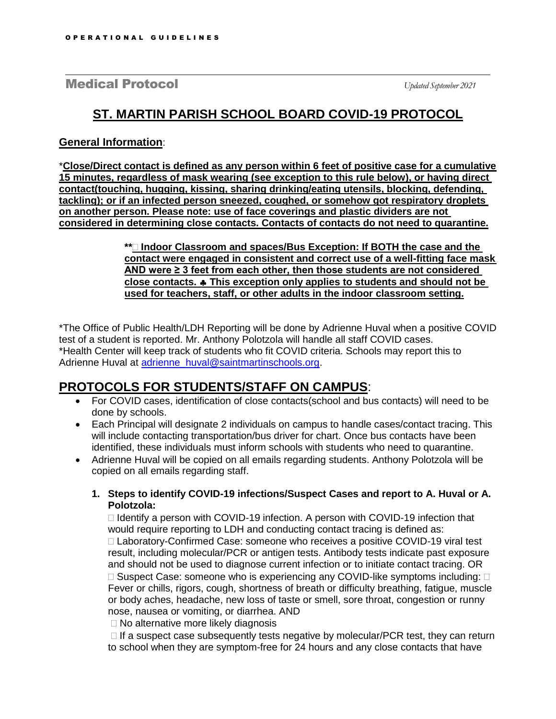Medical Protocol *Updated September 2021*

## **ST. MARTIN PARISH SCHOOL BOARD COVID-19 PROTOCOL**

### **General Information**:

\***Close/Direct contact is defined as any person within 6 feet of positive case for a cumulative 15 minutes, regardless of mask wearing (see exception to this rule below), or having direct contact(touching, hugging, kissing, sharing drinking/eating utensils, blocking, defending, tackling); or if an infected person sneezed, coughed, or somehow got respiratory droplets on another person. Please note: use of face coverings and plastic dividers are not considered in determining close contacts. Contacts of contacts do not need to quarantine.**

> **\*\* Indoor Classroom and spaces/Bus Exception: If BOTH the case and the contact were engaged in consistent and correct use of a well-fitting face mask AND were ≥ 3 feet from each other, then those students are not considered close contacts. This exception only applies to students and should not be used for teachers, staff, or other adults in the indoor classroom setting.**

\*The Office of Public Health/LDH Reporting will be done by Adrienne Huval when a positive COVID test of a student is reported. Mr. Anthony Polotzola will handle all staff COVID cases. \*Health Center will keep track of students who fit COVID criteria. Schools may report this to Adrienne Huval at [adrienne\\_huval@saintmartinschools.org.](mailto:adrienne_huval@saintmartinschools.org)

## **PROTOCOLS FOR STUDENTS/STAFF ON CAMPUS**:

- For COVID cases, identification of close contacts(school and bus contacts) will need to be done by schools.
- Each Principal will designate 2 individuals on campus to handle cases/contact tracing. This will include contacting transportation/bus driver for chart. Once bus contacts have been identified, these individuals must inform schools with students who need to quarantine.
- Adrienne Huval will be copied on all emails regarding students. Anthony Polotzola will be copied on all emails regarding staff.
	- **1. Steps to identify COVID-19 infections/Suspect Cases and report to A. Huval or A. Polotzola:**

 $\Box$  Identify a person with COVID-19 infection. A person with COVID-19 infection that would require reporting to LDH and conducting contact tracing is defined as: Laboratory-Confirmed Case: someone who receives a positive COVID-19 viral test result, including molecular/PCR or antigen tests. Antibody tests indicate past exposure and should not be used to diagnose current infection or to initiate contact tracing. OR  $\Box$  Suspect Case: someone who is experiencing any COVID-like symptoms including:  $\Box$ Fever or chills, rigors, cough, shortness of breath or difficulty breathing, fatigue, muscle or body aches, headache, new loss of taste or smell, sore throat, congestion or runny nose, nausea or vomiting, or diarrhea. AND

□ No alternative more likely diagnosis

 $\Box$  If a suspect case subsequently tests negative by molecular/PCR test, they can return to school when they are symptom-free for 24 hours and any close contacts that have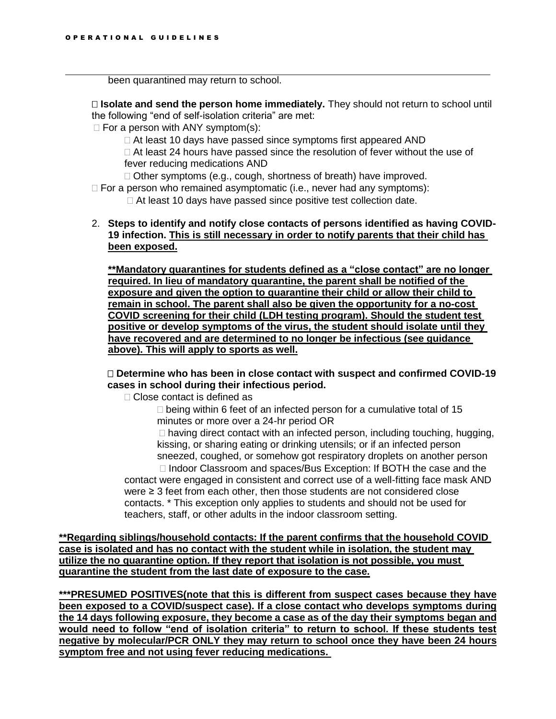been quarantined may return to school.

 **Isolate and send the person home immediately.** They should not return to school until the following "end of self-isolation criteria" are met:

 $\Box$  For a person with ANY symptom(s):

 $\Box$  At least 10 days have passed since symptoms first appeared AND  $\Box$  At least 24 hours have passed since the resolution of fever without the use of fever reducing medications AND

Other symptoms (e.g., cough, shortness of breath) have improved.

 $\Box$  For a person who remained asymptomatic (i.e., never had any symptoms):

□ At least 10 days have passed since positive test collection date.

2. **Steps to identify and notify close contacts of persons identified as having COVID-19 infection. This is still necessary in order to notify parents that their child has been exposed.**

**\*\*Mandatory quarantines for students defined as a "close contact" are no longer required. In lieu of mandatory quarantine, the parent shall be notified of the exposure and given the option to quarantine their child or allow their child to remain in school. The parent shall also be given the opportunity for a no-cost COVID screening for their child (LDH testing program). Should the student test positive or develop symptoms of the virus, the student should isolate until they have recovered and are determined to no longer be infectious (see guidance above). This will apply to sports as well.**

### **Determine who has been in close contact with suspect and confirmed COVID-19 cases in school during their infectious period.**

□ Close contact is defined as

 $\Box$  being within 6 feet of an infected person for a cumulative total of 15 minutes or more over a 24-hr period OR

 $\Box$  having direct contact with an infected person, including touching, hugging, kissing, or sharing eating or drinking utensils; or if an infected person sneezed, coughed, or somehow got respiratory droplets on another person  $\Box$  Indoor Classroom and spaces/Bus Exception: If BOTH the case and the

contact were engaged in consistent and correct use of a well-fitting face mask AND were ≥ 3 feet from each other, then those students are not considered close contacts. \* This exception only applies to students and should not be used for teachers, staff, or other adults in the indoor classroom setting.

**\*\*Regarding siblings/household contacts: If the parent confirms that the household COVID case is isolated and has no contact with the student while in isolation, the student may utilize the no quarantine option. If they report that isolation is not possible, you must quarantine the student from the last date of exposure to the case.**

**\*\*\*PRESUMED POSITIVES(note that this is different from suspect cases because they have been exposed to a COVID/suspect case). If a close contact who develops symptoms during the 14 days following exposure, they become a case as of the day their symptoms began and would need to follow "end of isolation criteria" to return to school. If these students test negative by molecular/PCR ONLY they may return to school once they have been 24 hours symptom free and not using fever reducing medications.**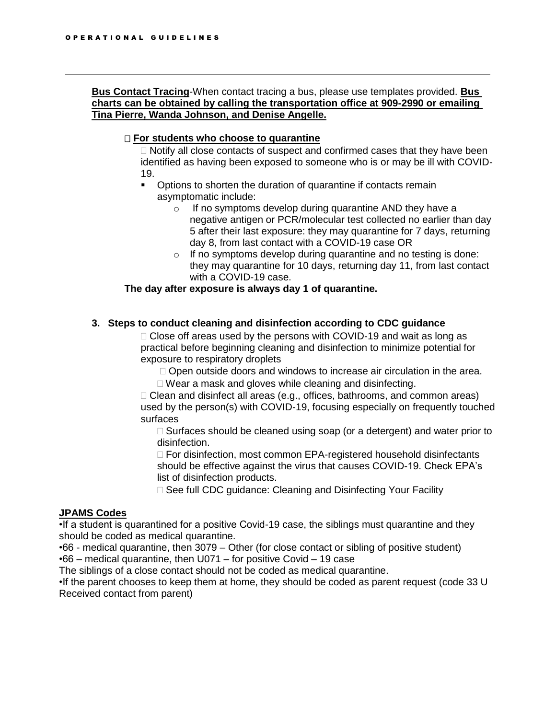### **Bus Contact Tracing**-When contact tracing a bus, please use templates provided. **Bus charts can be obtained by calling the transportation office at 909-2990 or emailing Tina Pierre, Wanda Johnson, and Denise Angelle.**

### **For students who choose to quarantine**

 $\Box$  Notify all close contacts of suspect and confirmed cases that they have been identified as having been exposed to someone who is or may be ill with COVID-19.

- Options to shorten the duration of quarantine if contacts remain asymptomatic include:
	- o If no symptoms develop during quarantine AND they have a negative antigen or PCR/molecular test collected no earlier than day 5 after their last exposure: they may quarantine for 7 days, returning day 8, from last contact with a COVID-19 case OR
	- $\circ$  If no symptoms develop during quarantine and no testing is done: they may quarantine for 10 days, returning day 11, from last contact with a COVID-19 case.

### **The day after exposure is always day 1 of quarantine.**

### **3. Steps to conduct cleaning and disinfection according to CDC guidance**

 $\Box$  Close off areas used by the persons with COVID-19 and wait as long as practical before beginning cleaning and disinfection to minimize potential for exposure to respiratory droplets

- □ Open outside doors and windows to increase air circulation in the area.
- Wear a mask and gloves while cleaning and disinfecting.

 $\Box$  Clean and disinfect all areas (e.g., offices, bathrooms, and common areas) used by the person(s) with COVID-19, focusing especially on frequently touched surfaces

 $\Box$  Surfaces should be cleaned using soap (or a detergent) and water prior to disinfection.

□ For disinfection, most common EPA-registered household disinfectants should be effective against the virus that causes COVID-19. Check EPA's list of disinfection products.

□ See full CDC guidance: Cleaning and Disinfecting Your Facility

### **JPAMS Codes**

•If a student is quarantined for a positive Covid-19 case, the siblings must quarantine and they should be coded as medical quarantine.

•66 - medical quarantine, then 3079 – Other (for close contact or sibling of positive student) •66 – medical quarantine, then U071 – for positive Covid – 19 case

The siblings of a close contact should not be coded as medical quarantine.

•If the parent chooses to keep them at home, they should be coded as parent request (code 33 U Received contact from parent)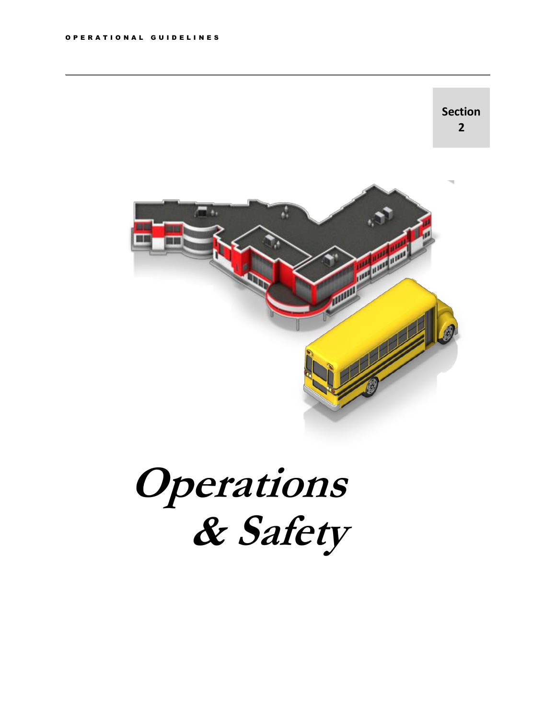

<span id="page-9-0"></span>**Operations & Safety**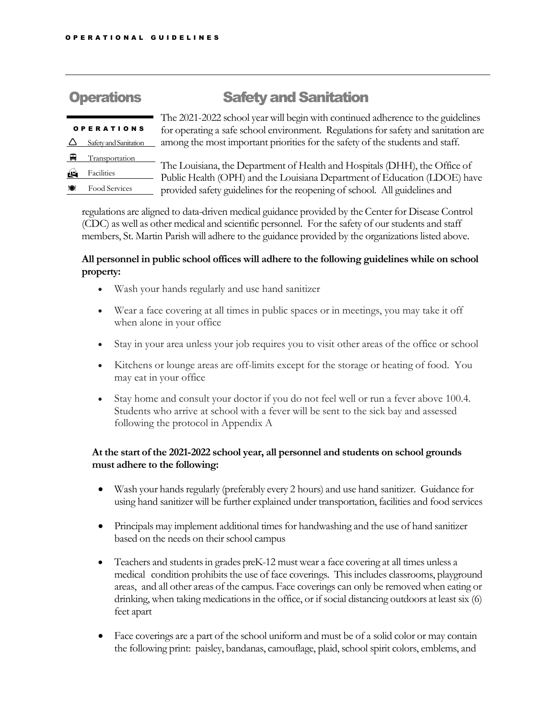## **Operations Safety and Sanitation**

| <b>OPERATIONS</b> |                               |  |
|-------------------|-------------------------------|--|
|                   | Safety and Sanitation         |  |
|                   | $\blacksquare$ Transportation |  |
|                   | Facilities                    |  |
|                   | Food Services                 |  |

The 2021-2022 school year will begin with continued adherence to the guidelines for operating a safe school environment. Regulations for safety and sanitation are among the most important priorities for the safety of the students and staff.

The Louisiana, the Department of Health and Hospitals(DHH), the Office of Public Health (OPH) and the Louisiana Department of Education (LDOE) have provided safety guidelines for the reopening of school. All guidelines and

regulations are aligned to data-driven medical guidance provided by the Center for Disease Control (CDC) as well as other medical and scientific personnel. For the safety of our students and staff members, St. Martin Parish will adhere to the guidance provided by the organizations listed above.

### **All personnel in public school offices will adhere to the following guidelines while on school property:**

- Wash your hands regularly and use hand sanitizer
- Wear a face covering at all times in public spaces or in meetings, you may take it off when alone in your office
- Stay in your area unless your job requires you to visit other areas of the office or school
- Kitchens or lounge areas are off-limits except for the storage or heating of food. You may eat in your office
- Stay home and consult your doctor if you do not feel well or run a fever above 100.4. Students who arrive at school with a fever will be sent to the sick bay and assessed following the protocol in Appendix A

### **At the start of the 2021-2022 school year, all personnel and students on school grounds must adhere to the following:**

- Wash your handsregularly (preferably every 2 hours) and use hand sanitizer. Guidance for using hand sanitizer will be further explained under transportation, facilities and food services
- Principals may implement additional times for handwashing and the use of hand sanitizer based on the needs on their school campus
- Teachers and students in grades preK-12 must wear a face covering at all times unless a medical condition prohibits the use of face coverings. This includes classrooms, playground areas, and all other areas of the campus. Face coverings can only be removed when eating or drinking, when taking medications in the office, or if social distancing outdoors at least six (6) feet apart
- Face coverings are a part of the school uniform and must be of a solid color or may contain the following print: paisley, bandanas, camouflage, plaid, school spirit colors, emblems, and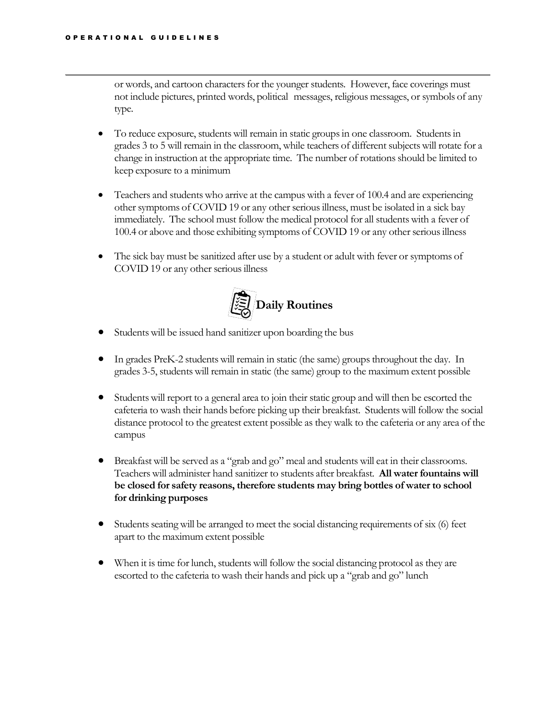or words, and cartoon characters for the younger students. However, face coverings must not include pictures, printed words, political messages, religious messages, or symbols of any type.

- To reduce exposure, students will remain in static groups in one classroom. Students in grades 3 to 5 will remain in the classroom, while teachers of different subjects will rotate for a change in instruction at the appropriate time. The number of rotations should be limited to keep exposure to a minimum
- Teachers and students who arrive at the campus with a fever of 100.4 and are experiencing other symptoms of COVID 19 or any other seriousillness, must be isolated in a sick bay immediately. The school must follow the medical protocol for all studentswith a fever of 100.4 or above and those exhibiting symptoms of COVID 19 or any other serious illness
- The sick bay must be sanitized after use by a student or adult with fever or symptoms of COVID 19 or any other serious illness

<span id="page-11-0"></span>

- Students will be issued hand sanitizer upon boarding the bus
- In grades PreK-2 students will remain in static (the same) groups throughout the day. In grades 3-5, studentswill remain in static (the same) group to the maximum extent possible
- Students will report to a general area to join their static group and will then be escorted the cafeteria to wash their hands before picking up their breakfast. Studentswill follow the social distance protocol to the greatest extent possible as they walk to the cafeteria or any area of the campus
- Breakfast will be served as a "grab and go" meal and students will eat in their classrooms. Teachers will administer hand sanitizer to students after breakfast. **All water fountains will be closed for safety reasons, therefore students may bring bottles of water to school for drinking purposes**
- $\bullet$  Students seating will be arranged to meet the social distancing requirements of six (6) feet apart to the maximum extent possible
- When it is time for lunch, students will follow the social distancing protocol as they are escorted to the cafeteria to wash their hands and pick up a "grab and go" lunch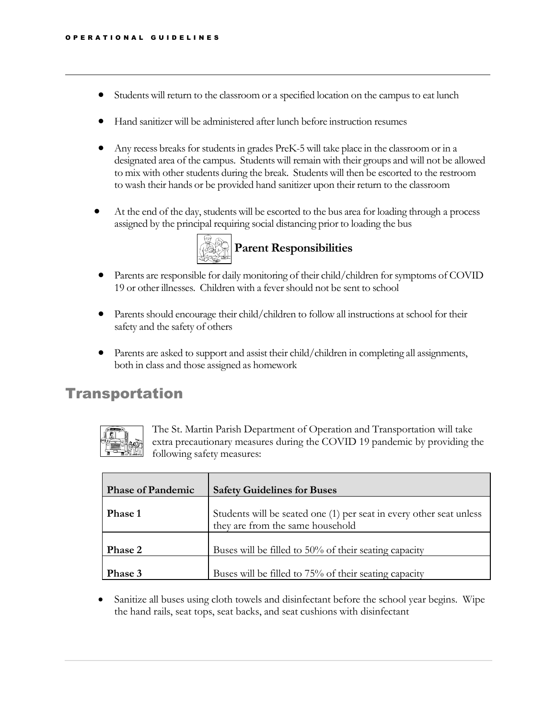- Students will return to the classroom or a specified location on the campus to eat lunch
- Hand sanitizer will be administered after lunch before instruction resumes
- Any recess breaks for students in grades  $PreK-5$  will take place in the classroom or in a designated area of the campus. Studentswill remain with their groups and will not be allowed to mix with other students during the break. Studentswill then be escorted to the restroom to wash their hands or be provided hand sanitizer upon their return to the classroom
- At the end of the day, studentswill be escorted to the bus area for loading through a process assigned by the principal requiring social distancing prior to loading the bus



- <span id="page-12-0"></span>• Parents are responsible for daily monitoring of their child/children for symptoms of COVID 19 or other illnesses. Children with a fevershould not be sent to school
- Parents should encourage their child/children to follow all instructions at school for their safety and the safety of others
- Parents are asked to support and assist their child/children in completing all assignments, both in class and those assigned as homework

## <span id="page-12-1"></span>Transportation



The St. Martin Parish Department of Operation and Transportation will take extra precautionary measures during the COVID 19 pandemic by providing the following safety measures:

| <b>Phase of Pandemic</b> | <b>Safety Guidelines for Buses</b>                                                                      |
|--------------------------|---------------------------------------------------------------------------------------------------------|
| <b>Phase 1</b>           | Students will be seated one (1) per seat in every other seat unless<br>they are from the same household |
| Phase 2                  | Buses will be filled to 50% of their seating capacity                                                   |
| Phase 3                  | Buses will be filled to 75% of their seating capacity                                                   |

• Sanitize all buses using cloth towels and disinfectant before the school year begins. Wipe the hand rails, seat tops, seat backs, and seat cushions with disinfectant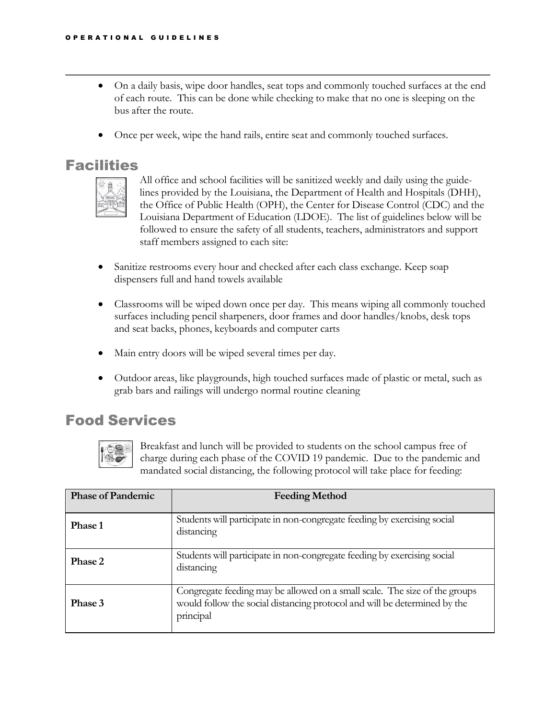- On a daily basis, wipe door handles, seat tops and commonly touched surfaces at the end of each route. This can be done while checking to make that no one is sleeping on the bus after the route.
- Once per week, wipe the hand rails, entire seat and commonly touched surfaces.

## <span id="page-13-0"></span>**Facilities**



All office and school facilities will be sanitized weekly and daily using the guidelines provided by the Louisiana, the Department of Health and Hospitals (DHH), the Office of Public Health (OPH), the Center for Disease Control (CDC) and the Louisiana Department of Education (LDOE). The list of guidelines below will be followed to ensure the safety of all students, teachers, administrators and support staff members assigned to each site:

- Sanitize restrooms every hour and checked after each class exchange. Keep soap dispensers full and hand towels available
- Classrooms will be wiped down once per day. This means wiping all commonly touched surfaces including pencil sharpeners, door frames and door handles/knobs, desk tops and seat backs, phones, keyboards and computer carts
- Main entry doors will be wiped several times per day.
- Outdoor areas, like playgrounds, high touched surfaces made of plastic or metal, such as grab bars and railings will undergo normal routine cleaning

## <span id="page-13-1"></span>Food Services



Breakfast and lunch will be provided to students on the school campus free of charge during each phase of the COVID 19 pandemic. Due to the pandemic and mandated social distancing, the following protocol will take place for feeding:

| <b>Phase of Pandemic</b> | <b>Feeding Method</b>                                                                                                                                                |
|--------------------------|----------------------------------------------------------------------------------------------------------------------------------------------------------------------|
| Phase 1                  | Students will participate in non-congregate feeding by exercising social<br>distancing                                                                               |
| <b>Phase 2</b>           | Students will participate in non-congregate feeding by exercising social<br>distancing                                                                               |
| Phase 3                  | Congregate feeding may be allowed on a small scale. The size of the groups<br>would follow the social distancing protocol and will be determined by the<br>principal |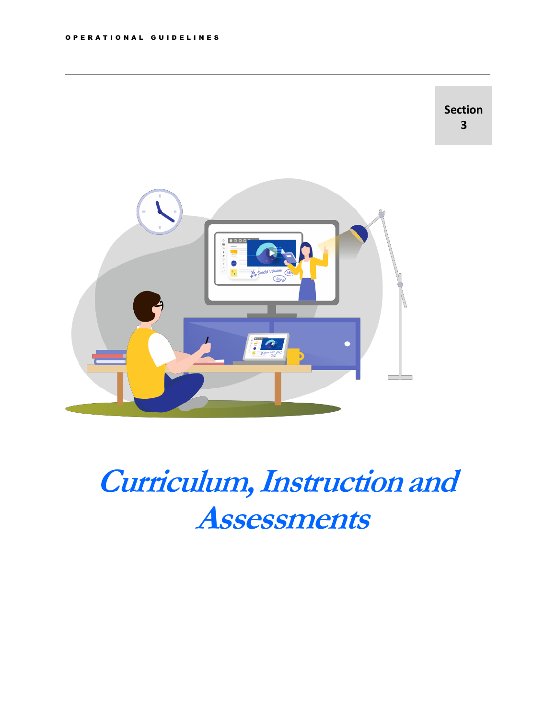

**Curriculum, Instruction and Assessments**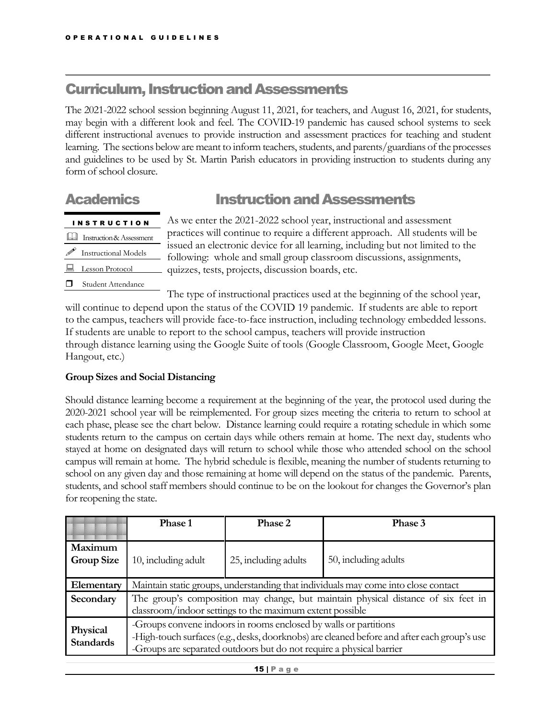## <span id="page-15-0"></span>**Curriculum, Instruction and Assessments**

The 2021-2022 school session beginning August 11, 2021, for teachers, and August 16, 2021, for students, may begin with a different look and feel. The COVID-19 pandemic has caused school systems to seek different instructional avenues to provide instruction and assessment practices for teaching and student learning. The sections below are meant to inform teachers, students, and parents/guardians of the processes and guidelines to be used by St. Martin Parish educators in providing instruction to students during any form of school closure.

## <span id="page-15-1"></span>Academics **Instruction** and Assessments

## I N S T R U C T I O N

- Instruction&Assessment
- Instructional Models
- **Lesson Protocol**
- **Student Attendance**

As we enter the 2021-2022 school year, instructional and assessment practices will continue to require a different approach. All students will be issued an electronic device for all learning, including but not limited to the following: whole and small group classroom discussions, assignments, quizzes, tests, projects, discussion boards, etc.

The type of instructional practices used at the beginning of the school year, will continue to depend upon the status of the COVID 19 pandemic. If students are able to report to the campus, teachers will provide face-to-face instruction, including technology embedded lessons. If students are unable to report to the school campus, teachers will provide instruction through distance learning using the Google Suite of tools (Google Classroom, Google Meet, Google Hangout, etc.)

### <span id="page-15-2"></span>**Group Sizes and Social Distancing**

Should distance learning become a requirement at the beginning of the year, the protocol used during the 2020-2021 school year will be reimplemented. For group sizes meeting the criteria to return to school at each phase, please see the chart below. Distance learning could require a rotating schedule in which some students return to the campus on certain days while others remain at home. The next day, students who stayed at home on designated days will return to school while those who attended school on the school campus will remain at home. The hybrid schedule is flexible, meaning the number of students returning to school on any given day and those remaining at home will depend on the status of the pandemic. Parents, students, and school staff members should continue to be on the lookout for changes the Governor's plan for reopening the state.

|                              | Phase 1                                                                                                                                                                                                                                 | Phase 2              | Phase 3              |
|------------------------------|-----------------------------------------------------------------------------------------------------------------------------------------------------------------------------------------------------------------------------------------|----------------------|----------------------|
| Maximum<br><b>Group Size</b> | 10, including adult                                                                                                                                                                                                                     | 25, including adults | 50, including adults |
| Elementary                   | Maintain static groups, understanding that individuals may come into close contact                                                                                                                                                      |                      |                      |
| Secondary                    | The group's composition may change, but maintain physical distance of six feet in<br>classroom/indoor settings to the maximum extent possible                                                                                           |                      |                      |
| Physical<br><b>Standards</b> | -Groups convene indoors in rooms enclosed by walls or partitions<br>-High-touch surfaces (e.g., desks, doorknobs) are cleaned before and after each group's use<br>-Groups are separated outdoors but do not require a physical barrier |                      |                      |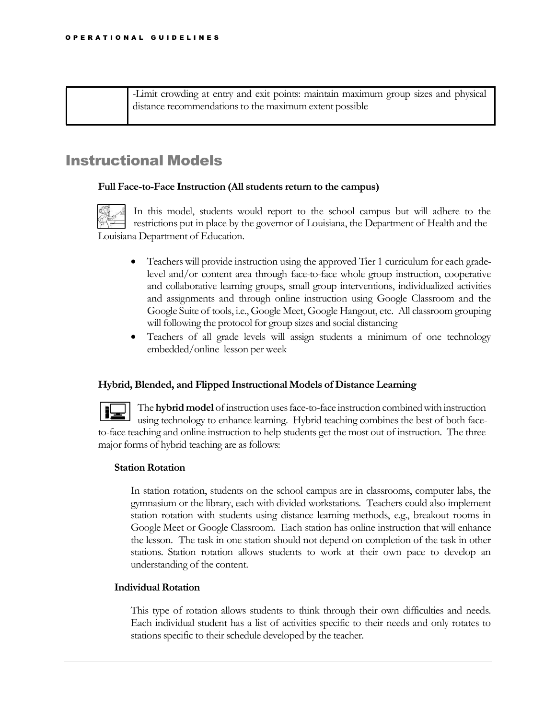| -Limit crowding at entry and exit points: maintain maximum group sizes and physical |
|-------------------------------------------------------------------------------------|
| distance recommendations to the maximum extent possible                             |
|                                                                                     |

## <span id="page-16-0"></span>Instructional Models

### **Full Face-to-Face Instruction (All students return to the campus)**

In this model, students would report to the school campus but will adhere to the restrictions put in place by the governor of Louisiana, the Department of Health and the Louisiana Department of Education.

- Teachers will provide instruction using the approved Tier 1 curriculum for each gradelevel and/or content area through face-to-face whole group instruction, cooperative and collaborative learning groups, small group interventions, individualized activities and assignments and through online instruction using Google Classroom and the Google Suite of tools, i.e., Google Meet, Google Hangout, etc. All classroom grouping will following the protocol for group sizes and social distancing
- Teachers of all grade levels will assign students a minimum of one technology embedded/online lesson per week

### **Hybrid, Blended, and Flipped Instructional Models of Distance Learning**

The **hybrid model** ofinstruction usesface-to-face instruction combinedwith instruction using technology to enhance learning. Hybrid teaching combines the best of both faceto-face teaching and online instruction to help students get the most out of instruction. The three major forms of hybrid teaching are as follows:

### **Station Rotation**

In station rotation, students on the school campus are in classrooms, computer labs, the gymnasium or the library, each with divided workstations. Teachers could also implement station rotation with students using distance learning methods, e.g., breakout rooms in Google Meet or Google Classroom. Each station has online instruction that will enhance the lesson. The task in one station should not depend on completion of the task in other stations. Station rotation allows students to work at their own pace to develop an understanding of the content.

### **Individual Rotation**

This type of rotation allows students to think through their own difficulties and needs. Each individual student has a list of activities specific to their needs and only rotates to stations specific to their schedule developed by the teacher.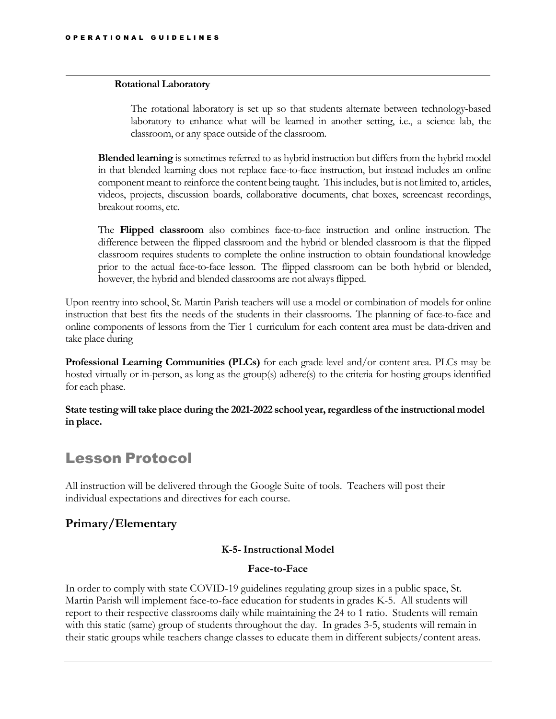### **Rotational Laboratory**

The rotational laboratory is set up so that students alternate between technology-based laboratory to enhance what will be learned in another setting, i.e., a science lab, the classroom, or any space outside of the classroom.

**Blended learning** is sometimes referred to as hybrid instruction but differs from the hybrid model in that blended learning does not replace face-to-face instruction, but instead includes an online component meant to reinforce the content being taught. Thisincludes, but is not limited to, articles, videos, projects, discussion boards, collaborative documents, chat boxes, screencast recordings, breakout rooms, etc.

The **Flipped classroom** also combines face-to-face instruction and online instruction. The difference between the flipped classroom and the hybrid or blended classroom is that the flipped classroom requires students to complete the online instruction to obtain foundational knowledge prior to the actual face-to-face lesson. The flipped classroom can be both hybrid or blended, however, the hybrid and blended classrooms are not always flipped.

Upon reentry into school, St. Martin Parish teachers will use a model or combination of models for online instruction that best fits the needs of the students in their classrooms. The planning of face-to-face and online components of lessons from the Tier 1 curriculum for each content area must be data-driven and take place during

**Professional Learning Communities (PLCs)** for each grade level and/or content area. PLCs may be hosted virtually or in-person, as long as the group(s) adhere(s) to the criteria for hosting groups identified for each phase.

**State testing will take place during the 2021-2022 school year,regardless of the instructional model in place.**

## <span id="page-17-0"></span>Lesson Protocol

All instruction will be delivered through the Google Suite of tools. Teachers will post their individual expectations and directives for each course.

### **Primary/Elementary**

### **K-5-Instructional Model**

### **Face-to-Face**

In order to comply with state COVID-19 guidelines regulating group sizes in a public space, St. Martin Parish will implement face-to-face education for students in grades K-5. All students will report to their respective classrooms daily while maintaining the 24 to 1 ratio. Students will remain with this static (same) group of students throughout the day. In grades 3-5, students will remain in their static groups while teachers change classes to educate them in different subjects/content areas.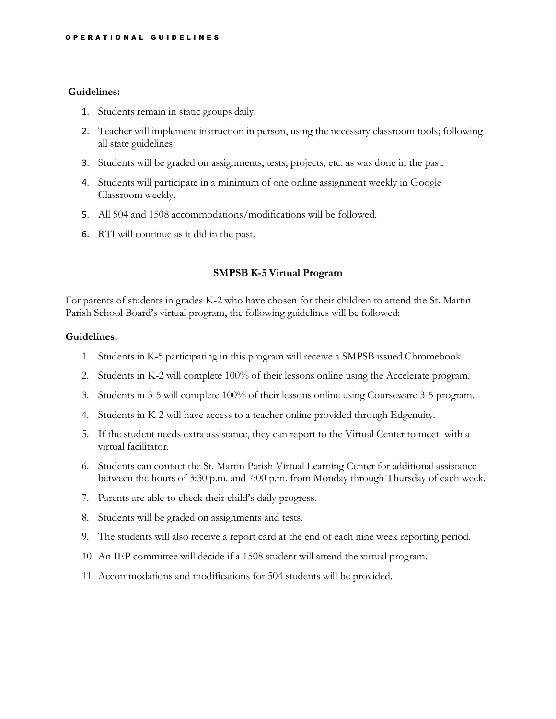### **Guidelines:**

- 1. Students remain in static groups daily.
- 2. Teacher will implement instruction in person, using the necessary classroom tools; following all state guidelines.
- 3. Students will be graded on assignments, tests, projects, etc. as was done in the past.
- 4. Students will participate in a minimum of one online assignment weekly in Google Classroom weekly.
- 5. All 504 and 1508 accommodations/modifications will be followed.
- 6. RTI will continue as it did in the past.

### **SMPSB K-5 Virtual Program**

For parents of students in grades K-2 who have chosen for their children to attend the St. Martin Parish School Board's virtual program, the following guidelines will be followed:

### **Guidelines:**

- 1. Students in K-5 participating in this program will receive a SMPSB issued Chromebook.
- 2. Students in K-2 will complete 100% of their lessons online using the Accelerate program.
- 3. Students in 3-5 will complete 100% of their lessons online using Courseware 3-5 program.
- 4. Students in K-2 will have access to a teacher online provided through Edgenuity.
- 5. If the student needs extra assistance, they can report to the Virtual Center to meet with a virtual facilitator.
- 6. Students can contact the St. Martin Parish Virtual Learning Center for additional assistance between the hours of 3:30 p.m. and 7:00 p.m. from Monday through Thursday of each week.
- 7. Parents are able to check their child's daily progress.
- 8. Students will be graded on assignments and tests.
- 9. The students will also receive a report card at the end of each nine week reporting period.
- 10. An IEP committee will decide if a 1508 student will attend the virtual program.
- 11. Accommodations and modifications for 504 students will be provided.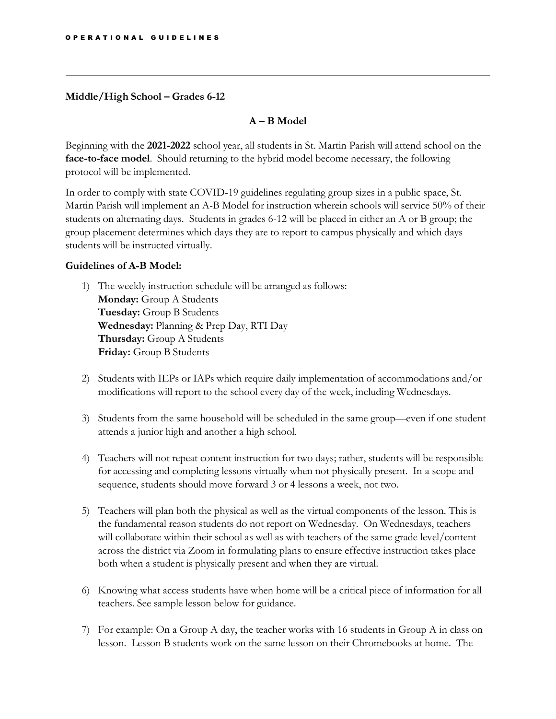### **Middle/High School – Grades 6-12**

### **A – B Model**

Beginning with the **2021-2022** school year, all students in St. Martin Parish will attend school on the **face-to-face model**. Should returning to the hybrid model become necessary, the following protocol will be implemented.

In order to comply with state COVID-19 guidelines regulating group sizes in a public space, St. Martin Parish will implement an A-B Model for instruction wherein schools will service 50% of their students on alternating days. Students in grades 6-12 will be placed in either an A or B group; the group placement determines which days they are to report to campus physically and which days students will be instructed virtually.

### **Guidelines of A-B Model:**

- 1) The weekly instruction schedule will be arranged as follows: **Monday:** Group A Students **Tuesday:** Group B Students **Wednesday:** Planning & Prep Day, RTI Day **Thursday:** Group A Students **Friday:** Group B Students
- 2) Students with IEPs or IAPs which require daily implementation of accommodations and/or modifications will report to the school every day of the week, including Wednesdays.
- 3) Students from the same household will be scheduled in the same group—even if one student attends a junior high and another a high school.
- 4) Teachers will not repeat content instruction for two days; rather, students will be responsible for accessing and completing lessons virtually when not physically present. In a scope and sequence, students should move forward 3 or 4 lessons a week, not two.
- 5) Teachers will plan both the physical as well as the virtual components of the lesson. This is the fundamental reason students do not report on Wednesday. On Wednesdays, teachers will collaborate within their school as well as with teachers of the same grade level/content across the district via Zoom in formulating plans to ensure effective instruction takes place both when a student is physically present and when they are virtual.
- 6) Knowing what access students have when home will be a critical piece of information for all teachers. See sample lesson below for guidance.
- 7) For example: On a Group A day, the teacher works with 16 students in Group A in class on lesson. Lesson B students work on the same lesson on their Chromebooks at home. The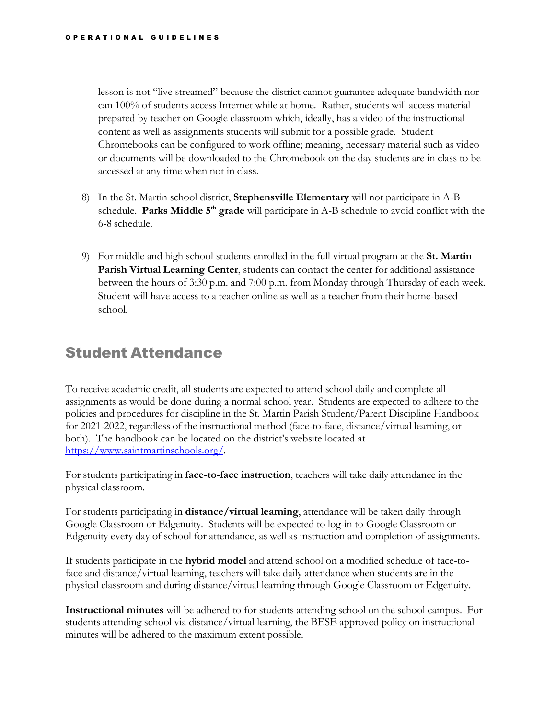lesson is not "live streamed" because the district cannot guarantee adequate bandwidth nor can 100% of students access Internet while at home. Rather, students will access material prepared by teacher on Google classroom which, ideally, has a video of the instructional content as well as assignments students will submit for a possible grade. Student Chromebooks can be configured to work offline; meaning, necessary material such as video or documents will be downloaded to the Chromebook on the day students are in class to be accessed at any time when not in class.

- 8) In the St. Martin school district, **Stephensville Elementary** will not participate in A-B schedule. Parks Middle 5<sup>th</sup> grade will participate in A-B schedule to avoid conflict with the 6-8 schedule.
- 9) For middle and high school students enrolled in the full virtual program at the **St. Martin Parish Virtual Learning Center**, students can contact the center for additional assistance between the hours of 3:30 p.m. and 7:00 p.m. from Monday through Thursday of each week. Student will have access to a teacher online as well as a teacher from their home-based school.

## <span id="page-20-0"></span>Student Attendance

To receive academic credit, all students are expected to attend school daily and complete all assignments as would be done during a normal school year. Students are expected to adhere to the policies and procedures for discipline in the St. Martin Parish Student/Parent Discipline Handbook for 2021-2022, regardless of the instructional method (face-to-face, distance/virtual learning, or both). The handbook can be located on the district's website located at [https://www.saintmartinschools.org/.](https://www.saintmartinschools.org/)

For students participating in **face-to-face instruction**, teachers will take daily attendance in the physical classroom.

For students participating in **distance/virtual learning**, attendance will be taken daily through Google Classroom or Edgenuity. Students will be expected to log-in to Google Classroom or Edgenuity every day of school for attendance, as well as instruction and completion of assignments.

If students participate in the **hybrid model** and attend school on a modified schedule of face-toface and distance/virtual learning, teachers will take daily attendance when students are in the physical classroom and during distance/virtual learning through Google Classroom or Edgenuity.

**Instructional minutes** will be adhered to for students attending school on the school campus. For students attending school via distance/virtual learning, the BESE approved policy on instructional minutes will be adhered to the maximum extent possible.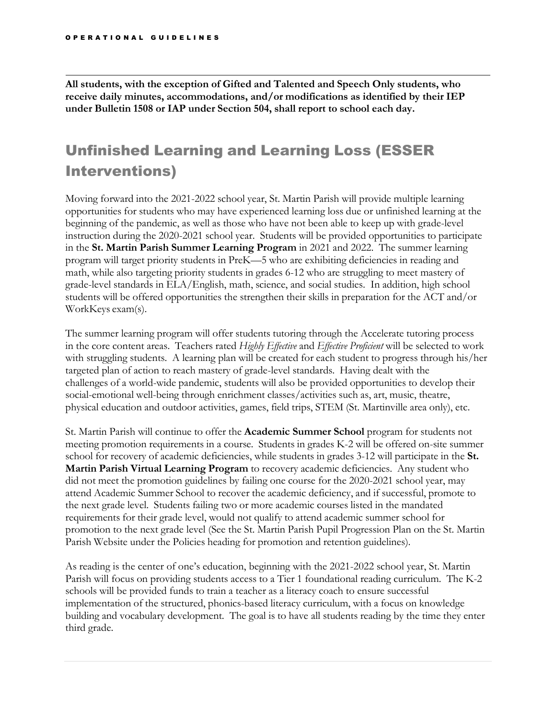**All students, with the exception of Gifted and Talented and Speech Only students, who receive daily minutes, accommodations, and/or modifications as identified by their IEP under Bulletin 1508 or IAP under Section 504, shall report to school each day.**

## Unfinished Learning and Learning Loss (ESSER Interventions)

Moving forward into the 2021-2022 school year, St. Martin Parish will provide multiple learning opportunities for students who may have experienced learning loss due or unfinished learning at the beginning of the pandemic, as well as those who have not been able to keep up with grade-level instruction during the 2020-2021 school year. Students will be provided opportunities to participate in the **St. Martin Parish Summer Learning Program** in 2021 and 2022. The summer learning program will target priority students in PreK—5 who are exhibiting deficiencies in reading and math, while also targeting priority students in grades 6-12 who are struggling to meet mastery of grade-level standards in ELA/English, math, science, and social studies. In addition, high school students will be offered opportunities the strengthen their skills in preparation for the ACT and/or WorkKeys exam(s).

The summer learning program will offer students tutoring through the Accelerate tutoring process in the core content areas. Teachers rated *Highly Effective* and *Effective Proficient* will be selected to work with struggling students. A learning plan will be created for each student to progress through his/her targeted plan of action to reach mastery of grade-level standards. Having dealt with the challenges of a world-wide pandemic, students will also be provided opportunities to develop their social-emotional well-being through enrichment classes/activities such as, art, music, theatre, physical education and outdoor activities, games, field trips, STEM (St. Martinville area only), etc.

St. Martin Parish will continue to offer the **Academic Summer School** program for students not meeting promotion requirements in a course. Students in grades K-2 will be offered on-site summer school for recovery of academic deficiencies, while students in grades 3-12 will participate in the **St. Martin Parish Virtual Learning Program** to recovery academic deficiencies. Any student who did not meet the promotion guidelines by failing one course for the 2020-2021 school year, may attend Academic Summer School to recover the academic deficiency, and if successful, promote to the next grade level. Students failing two or more academic courses listed in the mandated requirements for their grade level, would not qualify to attend academic summer school for promotion to the next grade level (See the St. Martin Parish Pupil Progression Plan on the St. Martin Parish Website under the Policies heading for promotion and retention guidelines).

As reading is the center of one's education, beginning with the 2021-2022 school year, St. Martin Parish will focus on providing students access to a Tier 1 foundational reading curriculum. The K-2 schools will be provided funds to train a teacher as a literacy coach to ensure successful implementation of the structured, phonics-based literacy curriculum, with a focus on knowledge building and vocabulary development. The goal is to have all students reading by the time they enter third grade.